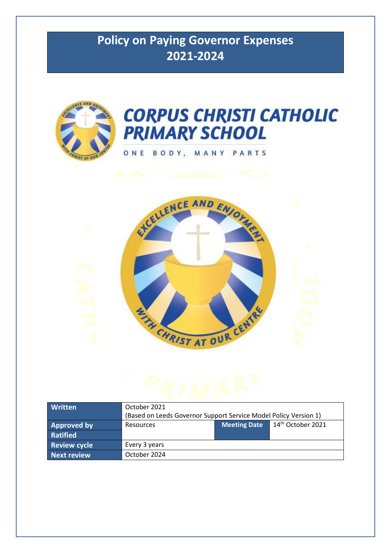# **Policy on Paying Governor Expenses 2021-2024**





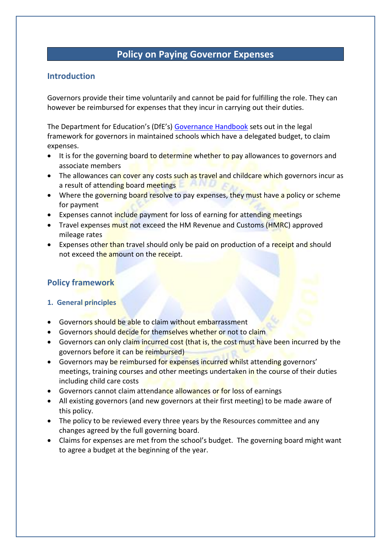# **Policy on Paying Governor Expenses**

## **Introduction**

Governors provide their time voluntarily and cannot be paid for fulfilling the role. They can however be reimbursed for expenses that they incur in carrying out their duties.

The Department for Education's (DfE's) [Governance Handbook](https://assets.publishing.service.gov.uk/government/uploads/system/uploads/attachment_data/file/925104/Governance_Handbook_FINAL.pdf) sets out in the legal framework for governors in maintained schools which have a delegated budget, to claim expenses.

- It is for the governing board to determine whether to pay allowances to governors and associate members
- The allowances can cover any costs such as travel and childcare which governors incur as a result of attending board meetings
- Where the governing board resolve to pay expenses, they must have a policy or scheme for payment
- Expenses cannot include payment for loss of earning for attending meetings
- Travel expenses must not exceed the HM Revenue and Customs (HMRC) approved mileage rates
- Expenses other than travel should only be paid on production of a receipt and should not exceed the amount on the receipt.

## **Policy framework**

## **1. General principles**

- Governors should be able to claim without embarrassment
- Governors should decide for themselves whether or not to claim
- Governors can only claim incurred cost (that is, the cost must have been incurred by the governors before it can be reimbursed)
- Governors may be reimbursed for expenses incurred whilst attending governors' meetings, training courses and other meetings undertaken in the course of their duties including child care costs
- Governors cannot claim attendance allowances or for loss of earnings
- All existing governors (and new governors at their first meeting) to be made aware of this policy.
- The policy to be reviewed every three years by the Resources committee and any changes agreed by the full governing board.
- Claims for expenses are met from the school's budget. The governing board might want to agree a budget at the beginning of the year.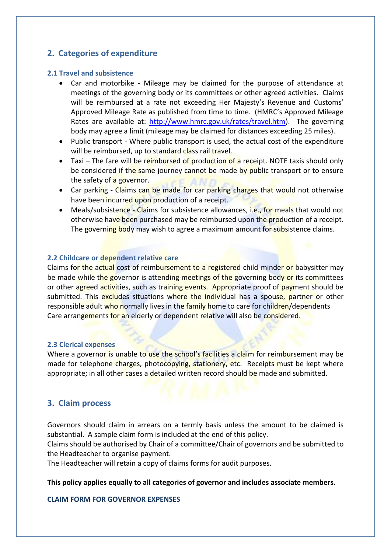## **2. Categories of expenditure**

#### **2.1 Travel and subsistence**

- Car and motorbike Mileage may be claimed for the purpose of attendance at meetings of the governing body or its committees or other agreed activities. Claims will be reimbursed at a rate not exceeding Her Majesty's Revenue and Customs' Approved Mileage Rate as published from time to time. (HMRC's Approved Mileage Rates are available at: [http://www.hmrc.gov.uk/rates/travel.htm\)](http://www.hmrc.gov.uk/rates/travel.htm). The governing body may agree a limit (mileage may be claimed for distances exceeding 25 miles).
- Public transport Where public transport is used, the actual cost of the expenditure will be reimbursed, up to standard class rail travel.
- Taxi The fare will be reimbursed of production of a receipt. NOTE taxis should only be considered if the same journey cannot be made by public transport or to ensure the safety of a governor.
- Car parking Claims can be made for car parking charges that would not otherwise have been incurred upon production of a receipt.
- Meals/subsistence Claims for subsistence allowances, i.e., for meals that would not otherwise have been purchased may be reimbursed upon the production of a receipt. The governing body may wish to agree a maximum amount for subsistence claims.

#### **2.2 Childcare or dependent relative care**

Claims for the actual cost of reimbursement to a registered child-minder or babysitter may be made while the governor is attending meetings of the governing body or its committees or other agreed activities, such as training events. Appropriate proof of payment should be submitted. This excludes situations where the individual has a spouse, partner or other responsible adult who normally lives in the family home to care for children/dependents Care arrangements for an elderly or dependent relative will also be considered.

#### **2.3 Clerical expenses**

Where a governor is unable to use the school's facilities a claim for reimbursement may be made for telephone charges, photocopying, stationery, etc. Receipts must be kept where appropriate; in all other cases a detailed written record should be made and submitted.

## **3. Claim process**

Governors should claim in arrears on a termly basis unless the amount to be claimed is substantial. A sample claim form is included at the end of this policy.

Claims should be authorised by Chair of a committee/Chair of governors and be submitted to the Headteacher to organise payment.

The Headteacher will retain a copy of claims forms for audit purposes.

#### **This policy applies equally to all categories of governor and includes associate members.**

#### **CLAIM FORM FOR GOVERNOR EXPENSES**